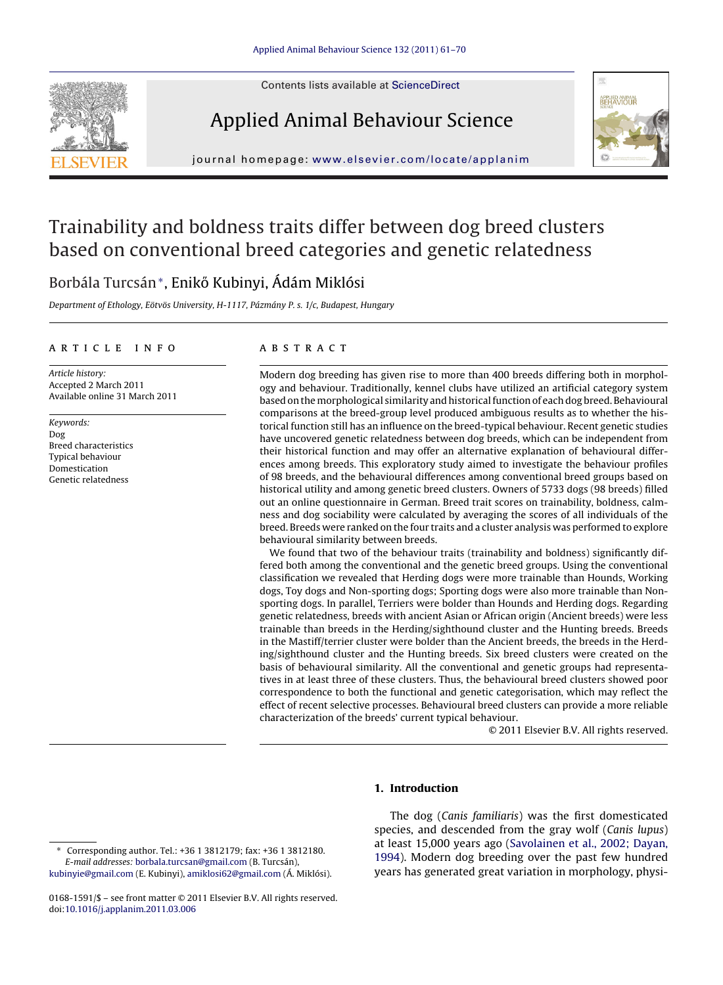Contents lists available at [ScienceDirect](http://www.sciencedirect.com/science/journal/01681591)







journal homepage: [www.elsevier.com/locate/applanim](http://www.elsevier.com/locate/applanim)

# Trainability and boldness traits differ between dog breed clusters based on conventional breed categories and genetic relatedness

## Borbála Turcsán<sup>∗</sup>, Enikő Kubinyi, Ádám Miklósi

Department of Ethology, Eötvös University, H-1117, Pázmány P. s. 1/c, Budapest, Hungary

## article info

Article history: Accepted 2 March 2011 Available online 31 March 2011

Keywords: Dog Breed characteristics Typical behaviour Domestication Genetic relatedness

## ABSTRACT

Modern dog breeding has given rise to more than 400 breeds differing both in morphology and behaviour. Traditionally, kennel clubs have utilized an artificial category system based on themorphological similarity and historical function of each dog breed. Behavioural comparisons at the breed-group level produced ambiguous results as to whether the historical function still has an influence on the breed-typical behaviour. Recent genetic studies have uncovered genetic relatedness between dog breeds, which can be independent from their historical function and may offer an alternative explanation of behavioural differences among breeds. This exploratory study aimed to investigate the behaviour profiles of 98 breeds, and the behavioural differences among conventional breed groups based on historical utility and among genetic breed clusters. Owners of 5733 dogs (98 breeds) filled out an online questionnaire in German. Breed trait scores on trainability, boldness, calmness and dog sociability were calculated by averaging the scores of all individuals of the breed. Breeds were ranked on the four traits and a cluster analysis was performed to explore behavioural similarity between breeds.

We found that two of the behaviour traits (trainability and boldness) significantly differed both among the conventional and the genetic breed groups. Using the conventional classification we revealed that Herding dogs were more trainable than Hounds, Working dogs, Toy dogs and Non-sporting dogs; Sporting dogs were also more trainable than Nonsporting dogs. In parallel, Terriers were bolder than Hounds and Herding dogs. Regarding genetic relatedness, breeds with ancient Asian or African origin (Ancient breeds) were less trainable than breeds in the Herding/sighthound cluster and the Hunting breeds. Breeds in the Mastiff/terrier cluster were bolder than the Ancient breeds, the breeds in the Herding/sighthound cluster and the Hunting breeds. Six breed clusters were created on the basis of behavioural similarity. All the conventional and genetic groups had representatives in at least three of these clusters. Thus, the behavioural breed clusters showed poor correspondence to both the functional and genetic categorisation, which may reflect the effect of recent selective processes. Behavioural breed clusters can provide a more reliable characterization of the breeds' current typical behaviour.

© 2011 Elsevier B.V. All rights reserved.

## **1. Introduction**

The dog (Canis familiaris) was the first domesticated species, and descended from the gray wolf (Canis lupus) at least 15,000 years ago [\(Savolainen et al., 2002; Dayan,](#page-9-0) [1994\).](#page-9-0) Modern dog breeding over the past few hundred years has generated great variation in morphology, physi-

<sup>∗</sup> Corresponding author. Tel.: +36 1 3812179; fax: +36 1 3812180. E-mail addresses: [borbala.turcsan@gmail.com](mailto:borbala.turcsan@gmail.com) (B. Turcsán), [kubinyie@gmail.com](mailto:kubinyie@gmail.com) (E. Kubinyi), [amiklosi62@gmail.com](mailto:amiklosi62@gmail.com) (Á. Miklósi).

<sup>0168-1591/\$ –</sup> see front matter © 2011 Elsevier B.V. All rights reserved. doi:[10.1016/j.applanim.2011.03.006](dx.doi.org/10.1016/j.applanim.2011.03.006)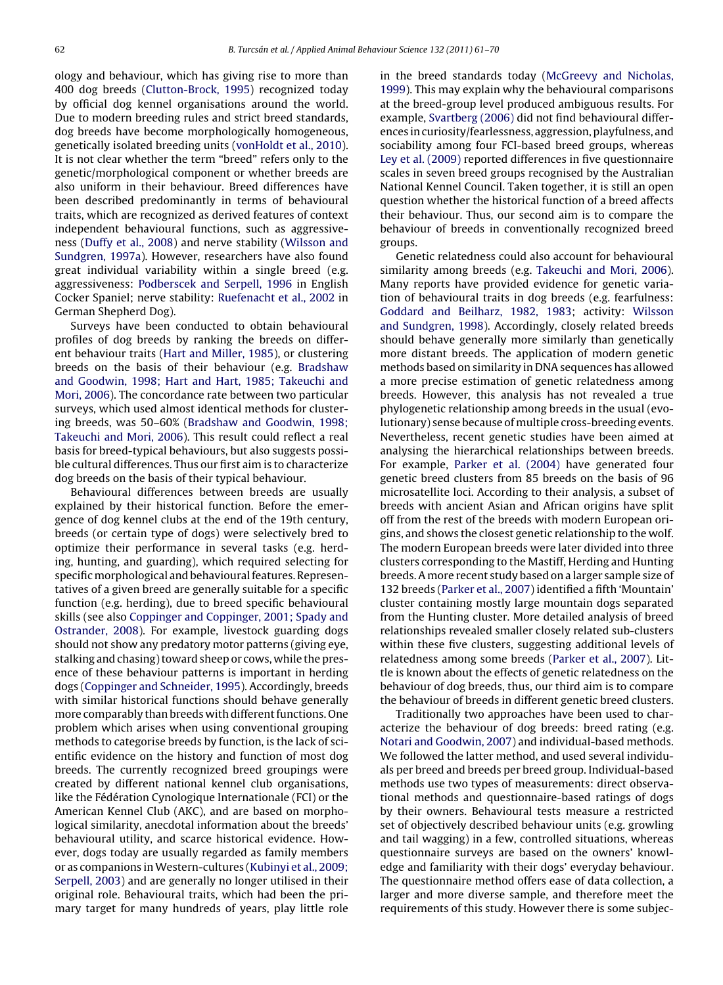ology and behaviour, which has giving rise to more than 400 dog breeds ([Clutton-Brock, 1995\)](#page-8-0) recognized today by official dog kennel organisations around the world. Due to modern breeding rules and strict breed standards, dog breeds have become morphologically homogeneous, genetically isolated breeding units ([vonHoldt et al., 2010\).](#page-9-0) It is not clear whether the term "breed" refers only to the genetic/morphological component or whether breeds are also uniform in their behaviour. Breed differences have been described predominantly in terms of behavioural traits, which are recognized as derived features of context independent behavioural functions, such as aggressiveness ([Duffy et al., 2008\)](#page-8-0) and nerve stability ([Wilsson and](#page-9-0) [Sundgren, 1997a\).](#page-9-0) However, researchers have also found great individual variability within a single breed (e.g. aggressiveness: [Podberscek and Serpell, 1996](#page-9-0) in English Cocker Spaniel; nerve stability: [Ruefenacht et al., 2002](#page-9-0) in German Shepherd Dog).

Surveys have been conducted to obtain behavioural profiles of dog breeds by ranking the breeds on different behaviour traits [\(Hart and Miller, 1985\),](#page-8-0) or clustering breeds on the basis of their behaviour (e.g. [Bradshaw](#page-8-0) [and Goodwin, 1998; Hart and Hart, 1985; Takeuchi and](#page-8-0) [Mori, 2006\).](#page-8-0) The concordance rate between two particular surveys, which used almost identical methods for clustering breeds, was 50–60% [\(Bradshaw and Goodwin, 1998;](#page-8-0) [Takeuchi and Mori, 2006\).](#page-8-0) This result could reflect a real basis for breed-typical behaviours, but also suggests possible cultural differences. Thus our first aim is to characterize dog breeds on the basis of their typical behaviour.

Behavioural differences between breeds are usually explained by their historical function. Before the emergence of dog kennel clubs at the end of the 19th century, breeds (or certain type of dogs) were selectively bred to optimize their performance in several tasks (e.g. herding, hunting, and guarding), which required selecting for specific morphological and behavioural features. Representatives of a given breed are generally suitable for a specific function (e.g. herding), due to breed specific behavioural skills (see also [Coppinger and Coppinger, 2001; Spady and](#page-8-0) [Ostrander, 2008\).](#page-8-0) For example, livestock guarding dogs should not show any predatory motor patterns (giving eye, stalking and chasing) toward sheep or cows, while the presence of these behaviour patterns is important in herding dogs ([Coppinger and Schneider, 1995\).](#page-8-0) Accordingly, breeds with similar historical functions should behave generally more comparably than breeds with different functions. One problem which arises when using conventional grouping methods to categorise breeds by function, is the lack of scientific evidence on the history and function of most dog breeds. The currently recognized breed groupings were created by different national kennel club organisations, like the Fédération Cynologique Internationale (FCI) or the American Kennel Club (AKC), and are based on morphological similarity, anecdotal information about the breeds' behavioural utility, and scarce historical evidence. However, dogs today are usually regarded as family members or as companions inWestern-cultures [\(Kubinyi et al., 2009;](#page-8-0) [Serpell, 2003\)](#page-8-0) and are generally no longer utilised in their original role. Behavioural traits, which had been the primary target for many hundreds of years, play little role

in the breed standards today [\(McGreevy and Nicholas,](#page-8-0) [1999\).](#page-8-0) This may explain why the behavioural comparisons at the breed-group level produced ambiguous results. For example, [Svartberg \(2006\)](#page-9-0) did not find behavioural differences in curiosity/fearlessness, aggression, playfulness, and sociability among four FCI-based breed groups, whereas [Ley et al. \(2009\)](#page-8-0) reported differences in five questionnaire scales in seven breed groups recognised by the Australian National Kennel Council. Taken together, it is still an open question whether the historical function of a breed affects their behaviour. Thus, our second aim is to compare the behaviour of breeds in conventionally recognized breed groups.

Genetic relatedness could also account for behavioural similarity among breeds (e.g. [Takeuchi and Mori, 2006\).](#page-9-0) Many reports have provided evidence for genetic variation of behavioural traits in dog breeds (e.g. fearfulness: [Goddard and Beilharz, 1982, 1983;](#page-8-0) activity: [Wilsson](#page-9-0) [and Sundgren, 1998\).](#page-9-0) Accordingly, closely related breeds should behave generally more similarly than genetically more distant breeds. The application of modern genetic methods based on similarity in DNA sequences has allowed a more precise estimation of genetic relatedness among breeds. However, this analysis has not revealed a true phylogenetic relationship among breeds in the usual (evolutionary) sense because of multiple cross-breeding events. Nevertheless, recent genetic studies have been aimed at analysing the hierarchical relationships between breeds. For example, [Parker et al. \(2004\)](#page-9-0) have generated four genetic breed clusters from 85 breeds on the basis of 96 microsatellite loci. According to their analysis, a subset of breeds with ancient Asian and African origins have split off from the rest of the breeds with modern European origins, and shows the closest genetic relationship to the wolf. The modern European breeds were later divided into three clusters corresponding to the Mastiff, Herding and Hunting breeds. A more recent study based on a larger sample size of 132 breeds ([Parker et al., 2007\)](#page-9-0) identified a fifth 'Mountain' cluster containing mostly large mountain dogs separated from the Hunting cluster. More detailed analysis of breed relationships revealed smaller closely related sub-clusters within these five clusters, suggesting additional levels of relatedness among some breeds [\(Parker et al., 2007\).](#page-9-0) Little is known about the effects of genetic relatedness on the behaviour of dog breeds, thus, our third aim is to compare the behaviour of breeds in different genetic breed clusters.

Traditionally two approaches have been used to characterize the behaviour of dog breeds: breed rating (e.g. [Notari and Goodwin, 2007\) a](#page-9-0)nd individual-based methods. We followed the latter method, and used several individuals per breed and breeds per breed group. Individual-based methods use two types of measurements: direct observational methods and questionnaire-based ratings of dogs by their owners. Behavioural tests measure a restricted set of objectively described behaviour units (e.g. growling and tail wagging) in a few, controlled situations, whereas questionnaire surveys are based on the owners' knowledge and familiarity with their dogs' everyday behaviour. The questionnaire method offers ease of data collection, a larger and more diverse sample, and therefore meet the requirements of this study. However there is some subjec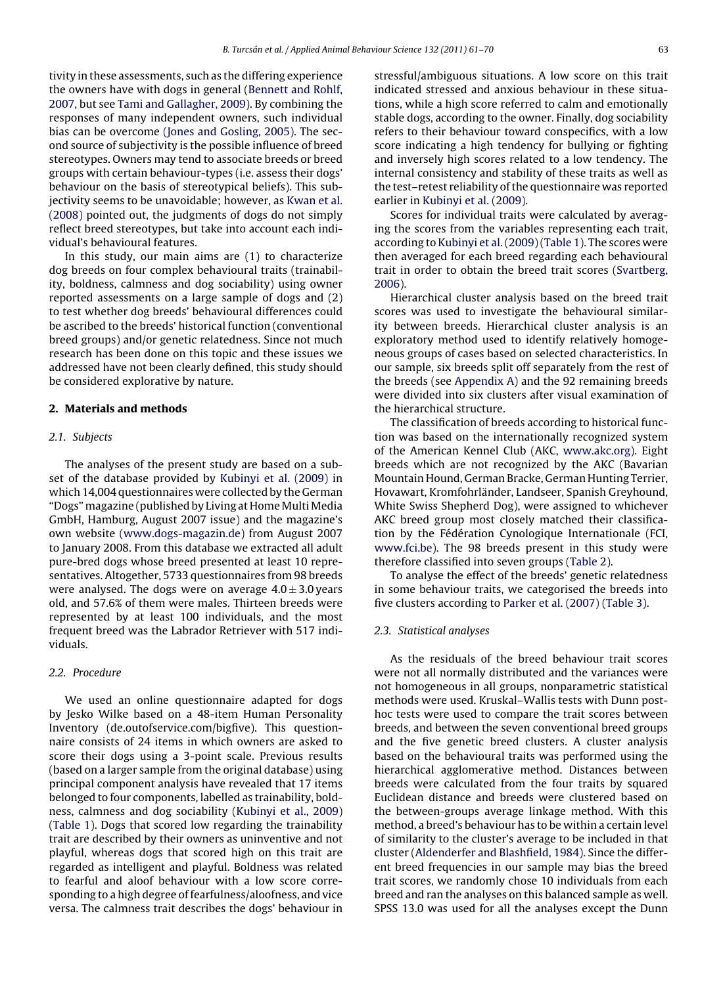<span id="page-2-0"></span>tivity in these assessments, such as the differing experience the owners have with dogs in general [\(Bennett and Rohlf,](#page-8-0) [2007, b](#page-8-0)ut see [Tami and Gallagher, 2009\).](#page-9-0) By combining the responses of many independent owners, such individual bias can be overcome [\(Jones and Gosling, 2005\).](#page-8-0) The second source of subjectivity is the possible influence of breed stereotypes. Owners may tend to associate breeds or breed groups with certain behaviour-types (i.e. assess their dogs' behaviour on the basis of stereotypical beliefs). This subjectivity seems to be unavoidable; however, as [Kwan et al.](#page-8-0) [\(2008\)](#page-8-0) pointed out, the judgments of dogs do not simply reflect breed stereotypes, but take into account each individual's behavioural features.

In this study, our main aims are (1) to characterize dog breeds on four complex behavioural traits (trainability, boldness, calmness and dog sociability) using owner reported assessments on a large sample of dogs and (2) to test whether dog breeds' behavioural differences could be ascribed to the breeds' historical function (conventional breed groups) and/or genetic relatedness. Since not much research has been done on this topic and these issues we addressed have not been clearly defined, this study should be considered explorative by nature.

## **2. Materials and methods**

## 2.1. Subjects

The analyses of the present study are based on a subset of the database provided by [Kubinyi et al. \(2009\)](#page-8-0) in which 14,004 questionnaires were collected by the German "Dogs" magazine (published by Living at Home Multi Media GmbH, Hamburg, August 2007 issue) and the magazine's own website [\(www.dogs-magazin.de](http://www.dogs-magazin.de/)) from August 2007 to January 2008. From this database we extracted all adult pure-bred dogs whose breed presented at least 10 representatives. Altogether, 5733 questionnaires from 98 breeds were analysed. The dogs were on average  $4.0 \pm 3.0$  years old, and 57.6% of them were males. Thirteen breeds were represented by at least 100 individuals, and the most frequent breed was the Labrador Retriever with 517 individuals.

## 2.2. Procedure

We used an online questionnaire adapted for dogs by Jesko Wilke based on a 48-item Human Personality Inventory (de.outofservice.com/bigfive). This questionnaire consists of 24 items in which owners are asked to score their dogs using a 3-point scale. Previous results (based on a larger sample from the original database) using principal component analysis have revealed that 17 items belonged to four components, labelled as trainability, boldness, calmness and dog sociability [\(Kubinyi et al., 2009\)](#page-8-0) [\(Table 1\).](#page-3-0) Dogs that scored low regarding the trainability trait are described by their owners as uninventive and not playful, whereas dogs that scored high on this trait are regarded as intelligent and playful. Boldness was related to fearful and aloof behaviour with a low score corresponding to a high degree of fearfulness/aloofness, and vice versa. The calmness trait describes the dogs' behaviour in stressful/ambiguous situations. A low score on this trait indicated stressed and anxious behaviour in these situations, while a high score referred to calm and emotionally stable dogs, according to the owner. Finally, dog sociability refers to their behaviour toward conspecifics, with a low score indicating a high tendency for bullying or fighting and inversely high scores related to a low tendency. The internal consistency and stability of these traits as well as the test–retest reliability of the questionnaire was reported earlier in [Kubinyi et al. \(2009\).](#page-8-0)

Scores for individual traits were calculated by averaging the scores from the variables representing each trait, according to [Kubinyi et al. \(2009\)\(](#page-8-0)[Table 1\).](#page-3-0) The scores were then averaged for each breed regarding each behavioural trait in order to obtain the breed trait scores ([Svartberg,](#page-9-0) [2006\).](#page-9-0)

Hierarchical cluster analysis based on the breed trait scores was used to investigate the behavioural similarity between breeds. Hierarchical cluster analysis is an exploratory method used to identify relatively homogeneous groups of cases based on selected characteristics. In our sample, six breeds split off separately from the rest of the breeds (see [Appendix A\)](#page-8-0) and the 92 remaining breeds were divided into six clusters after visual examination of the hierarchical structure.

The classification of breeds according to historical function was based on the internationally recognized system of the American Kennel Club (AKC, [www.akc.org\)](http://www.akc.org/). Eight breeds which are not recognized by the AKC (Bavarian Mountain Hound, German Bracke, German Hunting Terrier, Hovawart, Kromfohrländer, Landseer, Spanish Greyhound, White Swiss Shepherd Dog), were assigned to whichever AKC breed group most closely matched their classification by the Fédération Cynologique Internationale (FCI, [www.fci.be\)](http://www.fci.be/). The 98 breeds present in this study were therefore classified into seven groups [\(Table 2\).](#page-3-0)

To analyse the effect of the breeds' genetic relatedness in some behaviour traits, we categorised the breeds into five clusters according to [Parker et al. \(2007\)](#page-9-0) ([Table 3\).](#page-3-0)

## 2.3. Statistical analyses

As the residuals of the breed behaviour trait scores were not all normally distributed and the variances were not homogeneous in all groups, nonparametric statistical methods were used. Kruskal–Wallis tests with Dunn posthoc tests were used to compare the trait scores between breeds, and between the seven conventional breed groups and the five genetic breed clusters. A cluster analysis based on the behavioural traits was performed using the hierarchical agglomerative method. Distances between breeds were calculated from the four traits by squared Euclidean distance and breeds were clustered based on the between-groups average linkage method. With this method, a breed's behaviour has to be within a certain level of similarity to the cluster's average to be included in that cluster ([Aldenderfer and Blashfield, 1984\).](#page-8-0) Since the different breed frequencies in our sample may bias the breed trait scores, we randomly chose 10 individuals from each breed and ran the analyses on this balanced sample as well. SPSS 13.0 was used for all the analyses except the Dunn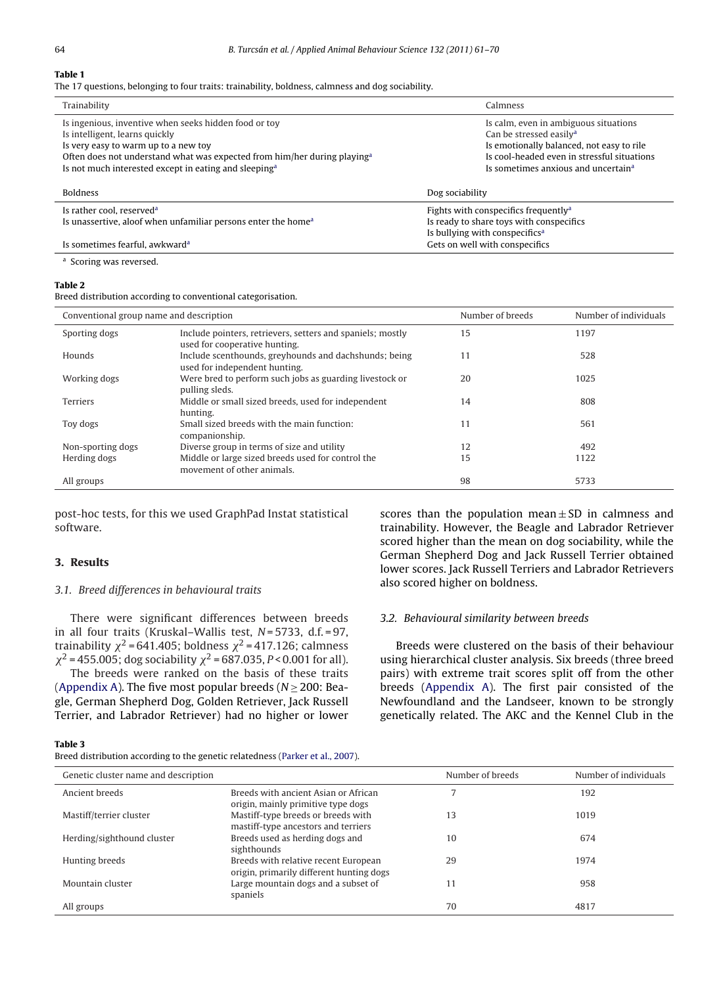#### <span id="page-3-0"></span>**Table 1**

The 17 questions, belonging to four traits: trainability, boldness, calmness and dog sociability.

| Trainability                                                                                                                                                                                                                                                                                 | Calmness                                                                                                                                                                                                                    |  |
|----------------------------------------------------------------------------------------------------------------------------------------------------------------------------------------------------------------------------------------------------------------------------------------------|-----------------------------------------------------------------------------------------------------------------------------------------------------------------------------------------------------------------------------|--|
| Is ingenious, inventive when seeks hidden food or toy<br>Is intelligent, learns quickly<br>Is very easy to warm up to a new toy<br>Often does not understand what was expected from him/her during playing <sup>a</sup><br>Is not much interested except in eating and sleeping <sup>a</sup> | Is calm, even in ambiguous situations<br>Can be stressed easily <sup>a</sup><br>Is emotionally balanced, not easy to rile<br>Is cool-headed even in stressful situations<br>Is sometimes anxious and uncertain <sup>a</sup> |  |
| <b>Boldness</b>                                                                                                                                                                                                                                                                              | Dog sociability                                                                                                                                                                                                             |  |
| Is rather cool, reserved <sup>a</sup><br>Is unassertive, aloof when unfamiliar persons enter the home <sup>a</sup><br>Is sometimes fearful, awkward <sup>a</sup>                                                                                                                             | Fights with conspecifics frequently <sup>a</sup><br>Is ready to share toys with conspecifics<br>Is bullying with conspecifics <sup>a</sup><br>Gets on well with conspecifics                                                |  |

<sup>a</sup> Scoring was reversed.

#### **Table 2**

Breed distribution according to conventional categorisation.

| Conventional group name and description |                                                                                             | Number of breeds | Number of individuals |
|-----------------------------------------|---------------------------------------------------------------------------------------------|------------------|-----------------------|
| Sporting dogs                           | Include pointers, retrievers, setters and spaniels; mostly<br>used for cooperative hunting. | 15               | 1197                  |
| Hounds                                  | Include scenthounds, greyhounds and dachshunds; being<br>used for independent hunting.      | 11               | 528                   |
| Working dogs                            | Were bred to perform such jobs as guarding livestock or<br>pulling sleds.                   | 20               | 1025                  |
| Terriers                                | Middle or small sized breeds, used for independent<br>hunting.                              | 14               | 808                   |
| Toy dogs                                | Small sized breeds with the main function:<br>companionship.                                | 11               | 561                   |
| Non-sporting dogs                       | Diverse group in terms of size and utility                                                  | 12               | 492                   |
| Herding dogs                            | Middle or large sized breeds used for control the<br>movement of other animals.             | 15               | 1122                  |
| All groups                              |                                                                                             | 98               | 5733                  |

post-hoc tests, for this we used GraphPad Instat statistical software.

## **3. Results**

#### 3.1. Breed differences in behavioural traits

There were significant differences between breeds in all four traits (Kruskal–Wallis test,  $N = 5733$ , d.f. = 97, trainability  $\chi^2$  = 641.405; boldness  $\chi^2$  = 417.126; calmness  $\chi^2$  = 455.005; dog sociability  $\chi^2$  = 687.035, P < 0.001 for all).

The breeds were ranked on the basis of these traits [\(Appendix A\).](#page-8-0) The five most popular breeds ( $N \ge 200$ : Beagle, German Shepherd Dog, Golden Retriever, Jack Russell Terrier, and Labrador Retriever) had no higher or lower scores than the population mean  $\pm$  SD in calmness and trainability. However, the Beagle and Labrador Retriever scored higher than the mean on dog sociability, while the German Shepherd Dog and Jack Russell Terrier obtained lower scores. Jack Russell Terriers and Labrador Retrievers also scored higher on boldness.

## 3.2. Behavioural similarity between breeds

Breeds were clustered on the basis of their behaviour using hierarchical cluster analysis. Six breeds (three breed pairs) with extreme trait scores split off from the other breeds ([Appendix A\).](#page-8-0) The first pair consisted of the Newfoundland and the Landseer, known to be strongly genetically related. The AKC and the Kennel Club in the

#### **Table 3**

Breed distribution according to the genetic relatedness [\(Parker et al., 2007\).](#page-9-0)

| Genetic cluster name and description |                                                                                  | Number of breeds | Number of individuals |
|--------------------------------------|----------------------------------------------------------------------------------|------------------|-----------------------|
| Ancient breeds                       | Breeds with ancient Asian or African<br>origin, mainly primitive type dogs       |                  | 192                   |
| Mastiff/terrier cluster              | Mastiff-type breeds or breeds with<br>mastiff-type ancestors and terriers        | 13               | 1019                  |
| Herding/sighthound cluster           | Breeds used as herding dogs and<br>sighthounds                                   | 10               | 674                   |
| Hunting breeds                       | Breeds with relative recent European<br>origin, primarily different hunting dogs | 29               | 1974                  |
| Mountain cluster                     | Large mountain dogs and a subset of<br>spaniels                                  |                  | 958                   |
| All groups                           |                                                                                  | 70               | 4817                  |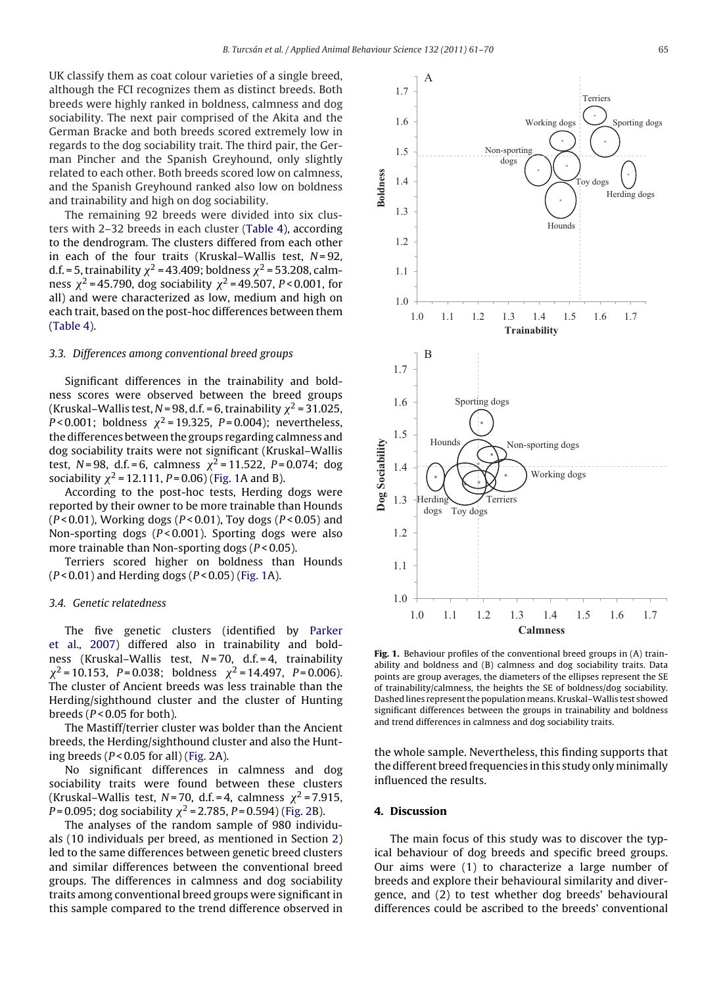<span id="page-4-0"></span>UK classify them as coat colour varieties of a single breed, although the FCI recognizes them as distinct breeds. Both breeds were highly ranked in boldness, calmness and dog sociability. The next pair comprised of the Akita and the German Bracke and both breeds scored extremely low in regards to the dog sociability trait. The third pair, the German Pincher and the Spanish Greyhound, only slightly related to each other. Both breeds scored low on calmness, and the Spanish Greyhound ranked also low on boldness and trainability and high on dog sociability.

The remaining 92 breeds were divided into six clusters with 2–32 breeds in each cluster ([Table 4\),](#page-5-0) according to the dendrogram. The clusters differed from each other in each of the four traits (Kruskal–Wallis test,  $N = 92$ , d.f. = 5, trainability  $\chi^2$  = 43.409; boldness  $\chi^2$  = 53.208, calmness  $\chi^2$  = 45.790, dog sociability  $\chi^2$  = 49.507, P<0.001, for all) and were characterized as low, medium and high on each trait, based on the post-hoc differences between them [\(Table 4\).](#page-5-0)

### 3.3. Differences among conventional breed groups

Significant differences in the trainability and boldness scores were observed between the breed groups (Kruskal–Wallis test, N = 98, d.f. = 6, trainability  $\chi^2$  = 31.025, P<0.001; boldness  $\chi^2$  = 19.325, P=0.004); nevertheless, the differences between the groups regarding calmness and dog sociability traits were not significant (Kruskal–Wallis test, N=98, d.f.=6, calmness  $\chi^2$ =11.522, P=0.074; dog sociability  $\chi^2$  = 12.111, P = 0.06) (Fig. 1A and B).

According to the post-hoc tests, Herding dogs were reported by their owner to be more trainable than Hounds ( $P < 0.01$ ), Working dogs ( $P < 0.01$ ), Toy dogs ( $P < 0.05$ ) and Non-sporting dogs  $(P < 0.001)$ . Sporting dogs were also more trainable than Non-sporting dogs  $(P < 0.05)$ .

Terriers scored higher on boldness than Hounds  $(P < 0.01)$  and Herding dogs  $(P < 0.05)$  (Fig. 1A).

## 3.4. Genetic relatedness

The five genetic clusters (identified by [Parker](#page-9-0) [et al., 2007\)](#page-9-0) differed also in trainability and boldness (Kruskal–Wallis test,  $N = 70$ , d.f. = 4, trainability  $\chi^2$  = 10.153, P = 0.038; boldness  $\chi^2$  = 14.497, P = 0.006). The cluster of Ancient breeds was less trainable than the Herding/sighthound cluster and the cluster of Hunting breeds ( $P < 0.05$  for both).

The Mastiff/terrier cluster was bolder than the Ancient breeds, the Herding/sighthound cluster and also the Hunting breeds ( $P < 0.05$  for all) [\(Fig. 2A](#page-6-0)).

No significant differences in calmness and dog sociability traits were found between these clusters (Kruskal–Wallis test, N=70, d.f.=4, calmness  $\chi^2$ =7.915, P = 0.095; dog sociability  $\chi^2$  = 2.785, P = 0.594) [\(Fig. 2B](#page-6-0)).

The analyses of the random sample of 980 individuals (10 individuals per breed, as mentioned in Section [2\)](#page-2-0) led to the same differences between genetic breed clusters and similar differences between the conventional breed groups. The differences in calmness and dog sociability traits among conventional breed groups were significant in this sample compared to the trend difference observed in



Fig. 1. Behaviour profiles of the conventional breed groups in (A) trainability and boldness and (B) calmness and dog sociability traits. Data points are group averages, the diameters of the ellipses represent the SE of trainability/calmness, the heights the SE of boldness/dog sociability. Dashed lines represent the population means. Kruskal–Wallis test showed significant differences between the groups in trainability and boldness and trend differences in calmness and dog sociability traits.

the whole sample. Nevertheless, this finding supports that the different breed frequencies in this study only minimally influenced the results.

## **4. Discussion**

The main focus of this study was to discover the typical behaviour of dog breeds and specific breed groups. Our aims were (1) to characterize a large number of breeds and explore their behavioural similarity and divergence, and (2) to test whether dog breeds' behavioural differences could be ascribed to the breeds' conventional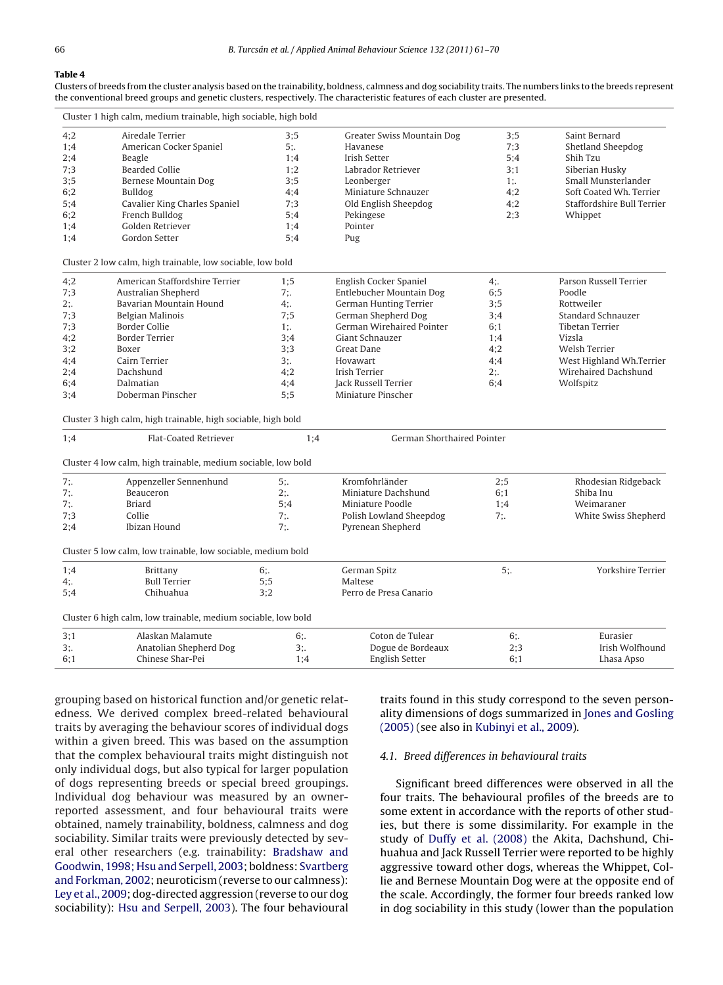## <span id="page-5-0"></span>**Table 4**

Clusters of breeds from the cluster analysis based on the trainability, boldness, calmness and dog sociability traits. The numbers links to the breeds represent the conventional breed groups and genetic clusters, respectively. The characteristic features of each cluster are presented.

|     | Cluster 1 high calm, medium trainable, high sociable, high bold |        |                               |     |                            |
|-----|-----------------------------------------------------------------|--------|-------------------------------|-----|----------------------------|
| 4;2 | Airedale Terrier                                                | 3:5    | Greater Swiss Mountain Dog    | 3:5 | Saint Bernard              |
| 1;4 | American Cocker Spaniel                                         | 5:     | Havanese                      | 7:3 | Shetland Sheepdog          |
| 2;4 | Beagle                                                          | 1:4    | Irish Setter                  | 5:4 | Shih Tzu                   |
| 7:3 | <b>Bearded Collie</b>                                           | 1:2    | Labrador Retriever            | 3:1 | Siberian Husky             |
| 3:5 | Bernese Mountain Dog                                            | 3:5    | Leonberger                    | 1;  | Small Munsterlander        |
| 6:2 | Bulldog                                                         | 4;4    | Miniature Schnauzer           | 4:2 | Soft Coated Wh. Terrier    |
| 5;4 | Cavalier King Charles Spaniel                                   | 7:3    | Old English Sheepdog          | 4;2 | Staffordshire Bull Terrier |
| 6:2 | French Bulldog                                                  | 5:4    | Pekingese                     | 2:3 | Whippet                    |
| 1;4 | Golden Retriever                                                | 1:4    | Pointer                       |     |                            |
| 1:4 | Gordon Setter                                                   | 5:4    | Pug                           |     |                            |
|     | Cluster 2 low calm, high trainable, low sociable, low bold      |        |                               |     |                            |
| 4;2 | American Staffordshire Terrier                                  | 1:5    | English Cocker Spaniel        | 4:  | Parson Russell Terrier     |
| 7:3 | Australian Shepherd                                             | 7:     | Entlebucher Mountain Dog      | 6:5 | Poodle                     |
| 2;  | Bavarian Mountain Hound                                         | 4;.    | <b>German Hunting Terrier</b> | 3;5 | Rottweiler                 |
| 7:3 | Belgian Malinois                                                | 7:5    | German Shepherd Dog           | 3:4 | Standard Schnauzer         |
| 7:3 | <b>Border Collie</b>                                            | $1$ ;. | German Wirehaired Pointer     | 6:1 | Tibetan Terrier            |
| 4:2 | <b>Border Terrier</b>                                           | 3:4    | Giant Schnauzer               | 1:4 | Vizsla                     |
| 3:2 | Boxer                                                           | 3:3    | Great Dane                    | 4:2 | Welsh Terrier              |
| 4;4 | Cairn Terrier                                                   | 3:     | Hovawart                      | 4:4 | West Highland Wh.Terrier   |
| 2:4 | Dachshund                                                       | 4:2    | <b>Irish Terrier</b>          | 2;  | Wirehaired Dachshund       |
| 6:4 | Dalmatian                                                       | 4:4    | <b>Jack Russell Terrier</b>   | 6:4 | Wolfspitz                  |
| 3:4 | Doberman Pinscher                                               | 5:5    | Miniature Pinscher            |     |                            |
|     | Cluster 3 high calm, high trainable, high sociable, high bold   |        |                               |     |                            |
| 1:4 | <b>Flat-Coated Retriever</b>                                    | 1:4    | German Shorthaired Pointer    |     |                            |
|     | Cluster 4 low calm, high trainable, medium sociable, low bold   |        |                               |     |                            |
| 7:  | Appenzeller Sennenhund                                          | 5:     | Kromfohrländer                | 2:5 | Rhodesian Ridgeback        |
| 7:  | Beauceron                                                       | 2:     | Miniature Dachshund           | 6:1 | Shiba Inu                  |
| 7;. | <b>Briard</b>                                                   | 5:4    | Miniature Poodle              | 1:4 | Weimaraner                 |
| 7:3 | Collie                                                          | 7;.    | Polish Lowland Sheepdog       | 7:  | White Swiss Shepherd       |
| 2:4 | Ibizan Hound                                                    | 7:     | Pyrenean Shepherd             |     |                            |
|     | Cluster 5 low calm, low trainable, low sociable, medium bold    |        |                               |     |                            |
| 1;4 | Brittany                                                        | 6:     | German Spitz                  | 5:  | Yorkshire Terrier          |
| 4;. | <b>Bull Terrier</b>                                             | 5:5    | Maltese                       |     |                            |
| 5:4 | Chihuahua                                                       | 3:2    | Perro de Presa Canario        |     |                            |
|     |                                                                 |        |                               |     |                            |
|     | Cluster 6 high calm, low trainable, medium sociable, low bold   |        |                               |     |                            |
| 3:1 | Alaskan Malamute                                                | 6;     | Coton de Tulear               | 6;  | Eurasier                   |
| 3;  | Anatolian Shepherd Dog                                          | 3:     | Dogue de Bordeaux             | 2;3 | Irish Wolfhound            |

grouping based on historical function and/or genetic relatedness. We derived complex breed-related behavioural traits by averaging the behaviour scores of individual dogs within a given breed. This was based on the assumption that the complex behavioural traits might distinguish not only individual dogs, but also typical for larger population of dogs representing breeds or special breed groupings. Individual dog behaviour was measured by an ownerreported assessment, and four behavioural traits were obtained, namely trainability, boldness, calmness and dog sociability. Similar traits were previously detected by several other researchers (e.g. trainability: [Bradshaw and](#page-8-0) [Goodwin, 1998; Hsu and Serpell, 2003; b](#page-8-0)oldness: [Svartberg](#page-9-0) [and Forkman, 2002; n](#page-9-0)euroticism (reverse to our calmness): [Ley et al., 2009; d](#page-8-0)og-directed aggression (reverse to our dog sociability): [Hsu and Serpell, 2003\).](#page-8-0) The four behavioural

traits found in this study correspond to the seven personality dimensions of dogs summarized in [Jones and Gosling](#page-8-0) [\(2005\)](#page-8-0) (see also in [Kubinyi et al., 2009\).](#page-8-0)

## 4.1. Breed differences in behavioural traits

Significant breed differences were observed in all the four traits. The behavioural profiles of the breeds are to some extent in accordance with the reports of other studies, but there is some dissimilarity. For example in the study of [Duffy et al. \(2008\)](#page-8-0) the Akita, Dachshund, Chihuahua and Jack Russell Terrier were reported to be highly aggressive toward other dogs, whereas the Whippet, Collie and Bernese Mountain Dog were at the opposite end of the scale. Accordingly, the former four breeds ranked low in dog sociability in this study (lower than the population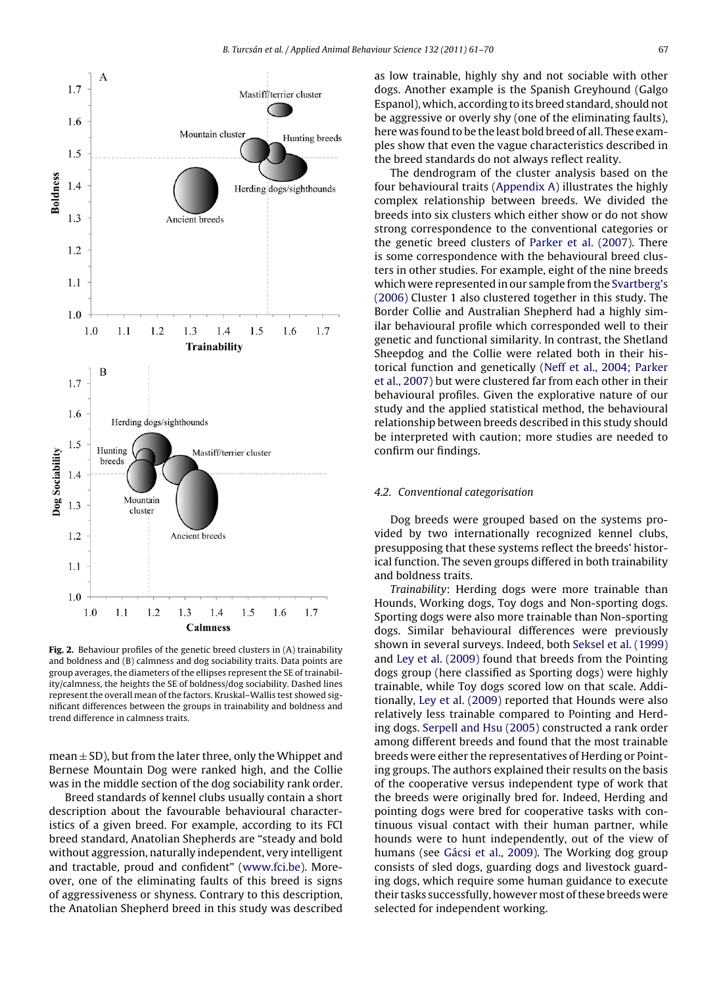<span id="page-6-0"></span>

**Fig. 2.** Behaviour profiles of the genetic breed clusters in (A) trainability and boldness and (B) calmness and dog sociability traits. Data points are group averages, the diameters of the ellipses represent the SE of trainability/calmness, the heights the SE of boldness/dog sociability. Dashed lines represent the overall mean of the factors. Kruskal–Wallis test showed significant differences between the groups in trainability and boldness and trend difference in calmness traits.

mean  $\pm$  SD), but from the later three, only the Whippet and Bernese Mountain Dog were ranked high, and the Collie was in the middle section of the dog sociability rank order.

Breed standards of kennel clubs usually contain a short description about the favourable behavioural characteristics of a given breed. For example, according to its FCI breed standard, Anatolian Shepherds are "steady and bold without aggression, naturally independent, very intelligent and tractable, proud and confident" ([www.fci.be](http://www.fci.be/)). Moreover, one of the eliminating faults of this breed is signs of aggressiveness or shyness. Contrary to this description, the Anatolian Shepherd breed in this study was described as low trainable, highly shy and not sociable with other dogs. Another example is the Spanish Greyhound (Galgo Espanol), which, according to its breed standard, should not be aggressive or overly shy (one of the eliminating faults), here was found to be the least bold breed of all. These examples show that even the vague characteristics described in the breed standards do not always reflect reality.

The dendrogram of the cluster analysis based on the four behavioural traits ([Appendix A\)](#page-8-0) illustrates the highly complex relationship between breeds. We divided the breeds into six clusters which either show or do not show strong correspondence to the conventional categories or the genetic breed clusters of [Parker et al. \(2007\).](#page-9-0) There is some correspondence with the behavioural breed clusters in other studies. For example, eight of the nine breeds which were represented in our sample from the [Svartberg's](#page-9-0) [\(2006\)](#page-9-0) Cluster 1 also clustered together in this study. The Border Collie and Australian Shepherd had a highly similar behavioural profile which corresponded well to their genetic and functional similarity. In contrast, the Shetland Sheepdog and the Collie were related both in their historical function and genetically ([Neff et al., 2004; Parker](#page-8-0) [et al., 2007\) b](#page-8-0)ut were clustered far from each other in their behavioural profiles. Given the explorative nature of our study and the applied statistical method, the behavioural relationship between breeds described in this study should be interpreted with caution; more studies are needed to confirm our findings.

## 4.2. Conventional categorisation

Dog breeds were grouped based on the systems provided by two internationally recognized kennel clubs, presupposing that these systems reflect the breeds' historical function. The seven groups differed in both trainability and boldness traits.

Trainability: Herding dogs were more trainable than Hounds, Working dogs, Toy dogs and Non-sporting dogs. Sporting dogs were also more trainable than Non-sporting dogs. Similar behavioural differences were previously shown in several surveys. Indeed, both [Seksel et al. \(1999\)](#page-9-0) and [Ley et al. \(2009\)](#page-8-0) found that breeds from the Pointing dogs group (here classified as Sporting dogs) were highly trainable, while Toy dogs scored low on that scale. Additionally, [Ley et al. \(2009\)](#page-8-0) reported that Hounds were also relatively less trainable compared to Pointing and Herding dogs. [Serpell and Hsu \(2005\)](#page-9-0) constructed a rank order among different breeds and found that the most trainable breeds were either the representatives of Herding or Pointing groups. The authors explained their results on the basis of the cooperative versus independent type of work that the breeds were originally bred for. Indeed, Herding and pointing dogs were bred for cooperative tasks with continuous visual contact with their human partner, while hounds were to hunt independently, out of the view of humans (see [Gácsi et al., 2009\).](#page-8-0) The Working dog group consists of sled dogs, guarding dogs and livestock guarding dogs, which require some human guidance to execute their tasks successfully, however most of these breeds were selected for independent working.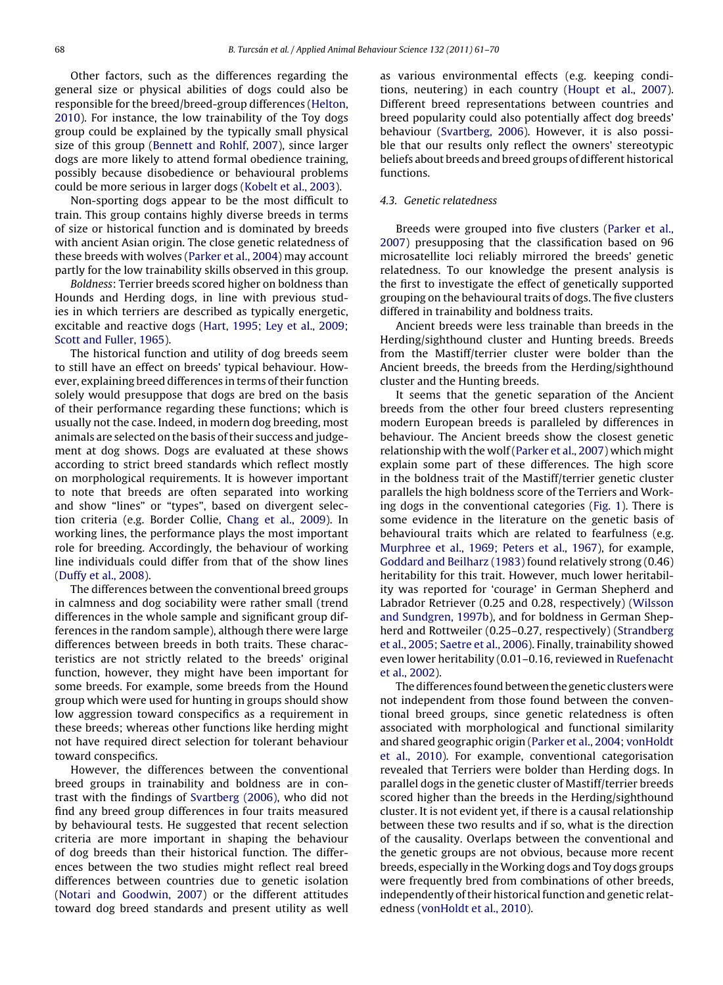Other factors, such as the differences regarding the general size or physical abilities of dogs could also be responsible for the breed/breed-group differences ([Helton,](#page-8-0) [2010\).](#page-8-0) For instance, the low trainability of the Toy dogs group could be explained by the typically small physical size of this group [\(Bennett and Rohlf, 2007\),](#page-8-0) since larger dogs are more likely to attend formal obedience training, possibly because disobedience or behavioural problems could be more serious in larger dogs [\(Kobelt et al., 2003\).](#page-8-0)

Non-sporting dogs appear to be the most difficult to train. This group contains highly diverse breeds in terms of size or historical function and is dominated by breeds with ancient Asian origin. The close genetic relatedness of these breeds with wolves [\(Parker et al., 2004\)](#page-9-0) may account partly for the low trainability skills observed in this group.

Boldness: Terrier breeds scored higher on boldness than Hounds and Herding dogs, in line with previous studies in which terriers are described as typically energetic, excitable and reactive dogs [\(Hart, 1995; Ley et al., 2009;](#page-8-0) [Scott and Fuller, 1965\).](#page-8-0)

The historical function and utility of dog breeds seem to still have an effect on breeds' typical behaviour. However, explaining breed differences in terms of their function solely would presuppose that dogs are bred on the basis of their performance regarding these functions; which is usually not the case. Indeed, in modern dog breeding, most animals are selected on the basis of their success and judgement at dog shows. Dogs are evaluated at these shows according to strict breed standards which reflect mostly on morphological requirements. It is however important to note that breeds are often separated into working and show "lines" or "types", based on divergent selection criteria (e.g. Border Collie, [Chang et al., 2009\).](#page-8-0) In working lines, the performance plays the most important role for breeding. Accordingly, the behaviour of working line individuals could differ from that of the show lines [\(Duffy et al., 2008\).](#page-8-0)

The differences between the conventional breed groups in calmness and dog sociability were rather small (trend differences in the whole sample and significant group differences in the random sample), although there were large differences between breeds in both traits. These characteristics are not strictly related to the breeds' original function, however, they might have been important for some breeds. For example, some breeds from the Hound group which were used for hunting in groups should show low aggression toward conspecifics as a requirement in these breeds; whereas other functions like herding might not have required direct selection for tolerant behaviour toward conspecifics.

However, the differences between the conventional breed groups in trainability and boldness are in contrast with the findings of [Svartberg \(2006\), w](#page-9-0)ho did not find any breed group differences in four traits measured by behavioural tests. He suggested that recent selection criteria are more important in shaping the behaviour of dog breeds than their historical function. The differences between the two studies might reflect real breed differences between countries due to genetic isolation [\(Notari and Goodwin, 2007\)](#page-9-0) or the different attitudes toward dog breed standards and present utility as well as various environmental effects (e.g. keeping conditions, neutering) in each country ([Houpt et al., 2007\).](#page-8-0) Different breed representations between countries and breed popularity could also potentially affect dog breeds' behaviour [\(Svartberg, 2006\).](#page-9-0) However, it is also possible that our results only reflect the owners' stereotypic beliefs about breeds and breed groups of different historical functions.

## 4.3. Genetic relatedness

Breeds were grouped into five clusters ([Parker et al.,](#page-9-0) [2007\)](#page-9-0) presupposing that the classification based on 96 microsatellite loci reliably mirrored the breeds' genetic relatedness. To our knowledge the present analysis is the first to investigate the effect of genetically supported grouping on the behavioural traits of dogs. The five clusters differed in trainability and boldness traits.

Ancient breeds were less trainable than breeds in the Herding/sighthound cluster and Hunting breeds. Breeds from the Mastiff/terrier cluster were bolder than the Ancient breeds, the breeds from the Herding/sighthound cluster and the Hunting breeds.

It seems that the genetic separation of the Ancient breeds from the other four breed clusters representing modern European breeds is paralleled by differences in behaviour. The Ancient breeds show the closest genetic relationship with the wolf ([Parker et al., 2007\) w](#page-9-0)hich might explain some part of these differences. The high score in the boldness trait of the Mastiff/terrier genetic cluster parallels the high boldness score of the Terriers and Working dogs in the conventional categories ([Fig. 1\).](#page-4-0) There is some evidence in the literature on the genetic basis of behavioural traits which are related to fearfulness (e.g. [Murphree et al., 1969; Peters et al., 1967\),](#page-8-0) for example, [Goddard and Beilharz \(1983\)](#page-8-0) found relatively strong (0.46) heritability for this trait. However, much lower heritability was reported for 'courage' in German Shepherd and Labrador Retriever (0.25 and 0.28, respectively) ([Wilsson](#page-9-0) [and Sundgren, 1997b\),](#page-9-0) and for boldness in German Shepherd and Rottweiler (0.25–0.27, respectively) [\(Strandberg](#page-9-0) [et al., 2005; Saetre et al., 2006\).](#page-9-0) Finally, trainability showed even lower heritability (0.01–0.16, reviewed in [Ruefenacht](#page-9-0) [et al., 2002\).](#page-9-0)

The differences found between the genetic clusters were not independent from those found between the conventional breed groups, since genetic relatedness is often associated with morphological and functional similarity and shared geographic origin ([Parker et al., 2004; vonHoldt](#page-9-0) [et al., 2010\).](#page-9-0) For example, conventional categorisation revealed that Terriers were bolder than Herding dogs. In parallel dogs in the genetic cluster of Mastiff/terrier breeds scored higher than the breeds in the Herding/sighthound cluster. It is not evident yet, if there is a causal relationship between these two results and if so, what is the direction of the causality. Overlaps between the conventional and the genetic groups are not obvious, because more recent breeds, especially in theWorking dogs and Toy dogs groups were frequently bred from combinations of other breeds, independently of their historical function and genetic relatedness ([vonHoldt et al., 2010\).](#page-9-0)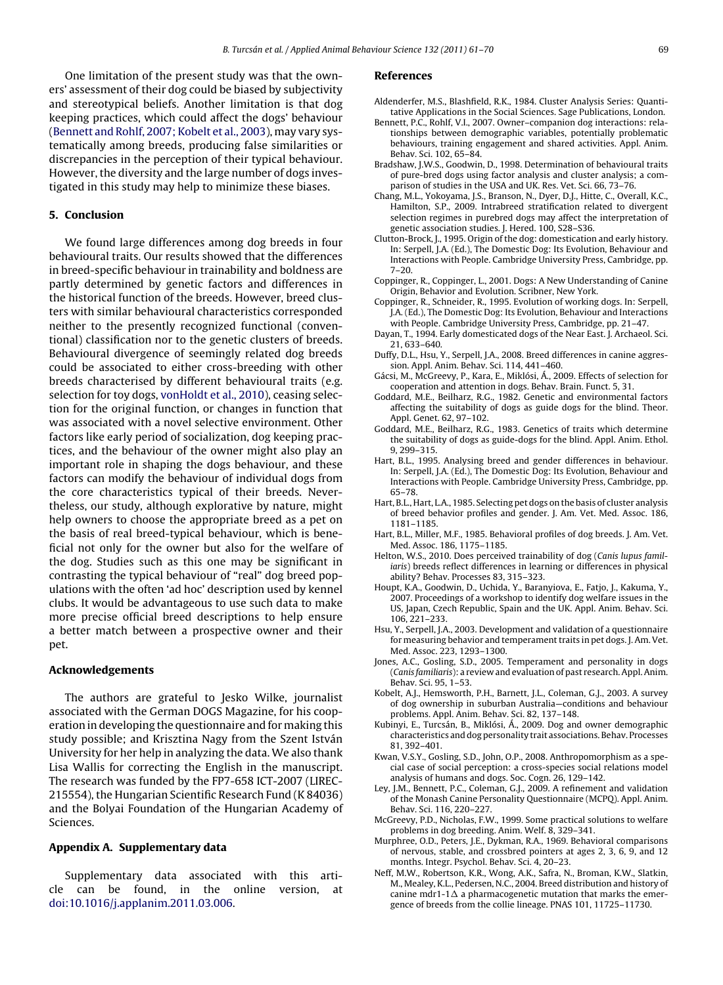<span id="page-8-0"></span>One limitation of the present study was that the owners' assessment of their dog could be biased by subjectivity and stereotypical beliefs. Another limitation is that dog keeping practices, which could affect the dogs' behaviour (Bennett and Rohlf, 2007; Kobelt et al., 2003), may vary systematically among breeds, producing false similarities or discrepancies in the perception of their typical behaviour. However, the diversity and the large number of dogs investigated in this study may help to minimize these biases.

## **5. Conclusion**

We found large differences among dog breeds in four behavioural traits. Our results showed that the differences in breed-specific behaviour in trainability and boldness are partly determined by genetic factors and differences in the historical function of the breeds. However, breed clusters with similar behavioural characteristics corresponded neither to the presently recognized functional (conventional) classification nor to the genetic clusters of breeds. Behavioural divergence of seemingly related dog breeds could be associated to either cross-breeding with other breeds characterised by different behavioural traits (e.g. selection for toy dogs, [vonHoldt et al., 2010\),](#page-9-0) ceasing selection for the original function, or changes in function that was associated with a novel selective environment. Other factors like early period of socialization, dog keeping practices, and the behaviour of the owner might also play an important role in shaping the dogs behaviour, and these factors can modify the behaviour of individual dogs from the core characteristics typical of their breeds. Nevertheless, our study, although explorative by nature, might help owners to choose the appropriate breed as a pet on the basis of real breed-typical behaviour, which is beneficial not only for the owner but also for the welfare of the dog. Studies such as this one may be significant in contrasting the typical behaviour of "real" dog breed populations with the often 'ad hoc' description used by kennel clubs. It would be advantageous to use such data to make more precise official breed descriptions to help ensure a better match between a prospective owner and their pet.

## **Acknowledgements**

The authors are grateful to Jesko Wilke, journalist associated with the German DOGS Magazine, for his cooperation in developing the questionnaire and for making this study possible; and Krisztina Nagy from the Szent István University for her help in analyzing the data. We also thank Lisa Wallis for correcting the English in the manuscript. The research was funded by the FP7-658 ICT-2007 (LIREC-215554), the Hungarian Scientific Research Fund (K 84036) and the Bolyai Foundation of the Hungarian Academy of Sciences.

## **Appendix A. Supplementary data**

Supplementary data associated with this article can be found, in the online version, at [doi:10.1016/j.applanim.2011.03.006](http://dx.doi.org/10.1016/j.applanim.2011.03.006).

## **References**

- Aldenderfer, M.S., Blashfield, R.K., 1984. Cluster Analysis Series: Quantitative Applications in the Social Sciences. Sage Publications, London.
- Bennett, P.C., Rohlf, V.I., 2007. Owner–companion dog interactions: relationships between demographic variables, potentially problematic behaviours, training engagement and shared activities. Appl. Anim. Behav. Sci. 102, 65–84.
- Bradshaw, J.W.S., Goodwin, D., 1998. Determination of behavioural traits of pure-bred dogs using factor analysis and cluster analysis; a comparison of studies in the USA and UK. Res. Vet. Sci. 66, 73–76.
- Chang, M.L., Yokoyama, J.S., Branson, N., Dyer, D.J., Hitte, C., Overall, K.C., Hamilton, S.P., 2009. Intrabreed stratification related to divergent selection regimes in purebred dogs may affect the interpretation of genetic association studies. J. Hered. 100, S28–S36.
- Clutton-Brock, J., 1995. Origin of the dog: domestication and early history. In: Serpell, J.A. (Ed.), The Domestic Dog: Its Evolution, Behaviour and Interactions with People. Cambridge University Press, Cambridge, pp. 7–20.
- Coppinger, R., Coppinger, L., 2001. Dogs: A New Understanding of Canine Origin, Behavior and Evolution. Scribner, New York.
- Coppinger, R., Schneider, R., 1995. Evolution of working dogs. In: Serpell, J.A. (Ed.), The Domestic Dog: Its Evolution, Behaviour and Interactions with People. Cambridge University Press, Cambridge, pp. 21–47.
- Dayan, T., 1994. Early domesticated dogs of the Near East. J. Archaeol. Sci. 21, 633–640.
- Duffy, D.L., Hsu, Y., Serpell, J.A., 2008. Breed differences in canine aggression. Appl. Anim. Behav. Sci. 114, 441–460.
- Gácsi, M., McGreevy, P., Kara, E., Miklósi, Á., 2009. Effects of selection for cooperation and attention in dogs. Behav. Brain. Funct. 5, 31.
- Goddard, M.E., Beilharz, R.G., 1982. Genetic and environmental factors affecting the suitability of dogs as guide dogs for the blind. Theor. Appl. Genet. 62, 97–102.
- Goddard, M.E., Beilharz, R.G., 1983. Genetics of traits which determine the suitability of dogs as guide-dogs for the blind. Appl. Anim. Ethol. 9, 299–315.
- Hart, B.L., 1995. Analysing breed and gender differences in behaviour. In: Serpell, J.A. (Ed.), The Domestic Dog: Its Evolution, Behaviour and Interactions with People. Cambridge University Press, Cambridge, pp. 65–78.
- Hart, B.L., Hart, L.A., 1985. Selecting pet dogs on the basis of cluster analysis of breed behavior profiles and gender. J. Am. Vet. Med. Assoc. 186, 1181–1185.
- Hart, B.L., Miller, M.F., 1985. Behavioral profiles of dog breeds. J. Am. Vet. Med. Assoc. 186, 1175–1185.
- Helton, W.S., 2010. Does perceived trainability of dog (Canis lupus familiaris) breeds reflect differences in learning or differences in physical ability? Behav. Processes 83, 315–323.
- Houpt, K.A., Goodwin, D., Uchida, Y., Baranyiova, E., Fatjo, J., Kakuma, Y., 2007. Proceedings of a workshop to identify dog welfare issues in the US, Japan, Czech Republic, Spain and the UK. Appl. Anim. Behav. Sci. 106, 221–233.
- Hsu, Y., Serpell, J.A., 2003. Development and validation of a questionnaire for measuring behavior and temperament traits in pet dogs. J. Am. Vet. Med. Assoc. 223, 1293–1300.
- Jones, A.C., Gosling, S.D., 2005. Temperament and personality in dogs (Canis familiaris): a review and evaluation of past research. Appl. Anim. Behav. Sci. 95, 1–53.
- Kobelt, A.J., Hemsworth, P.H., Barnett, J.L., Coleman, G.J., 2003. A survey of dog ownership in suburban Australia—conditions and behaviour problems. Appl. Anim. Behav. Sci. 82, 137–148.
- Kubinyi, E., Turcsán, B., Miklósi, Á., 2009. Dog and owner demographic characteristics and dog personality trait associations. Behav. Processes 81, 392–401.
- Kwan, V.S.Y., Gosling, S.D., John, O.P., 2008. Anthropomorphism as a special case of social perception: a cross-species social relations model analysis of humans and dogs. Soc. Cogn. 26, 129–142.
- Ley, J.M., Bennett, P.C., Coleman, G.J., 2009. A refinement and validation of the Monash Canine Personality Questionnaire (MCPQ). Appl. Anim. Behav. Sci. 116, 220–227.
- McGreevy, P.D., Nicholas, F.W., 1999. Some practical solutions to welfare problems in dog breeding. Anim. Welf. 8, 329–341.
- Murphree, O.D., Peters, J.E., Dykman, R.A., 1969. Behavioral comparisons of nervous, stable, and crossbred pointers at ages 2, 3, 6, 9, and 12 months. Integr. Psychol. Behav. Sci. 4, 20–23.
- Neff, M.W., Robertson, K.R., Wong, A.K., Safra, N., Broman, K.W., Slatkin, M., Mealey, K.L., Pedersen, N.C., 2004. Breed distribution and history of canine mdr1-1 $\Delta$  a pharmacogenetic mutation that marks the emergence of breeds from the collie lineage. PNAS 101, 11725–11730.